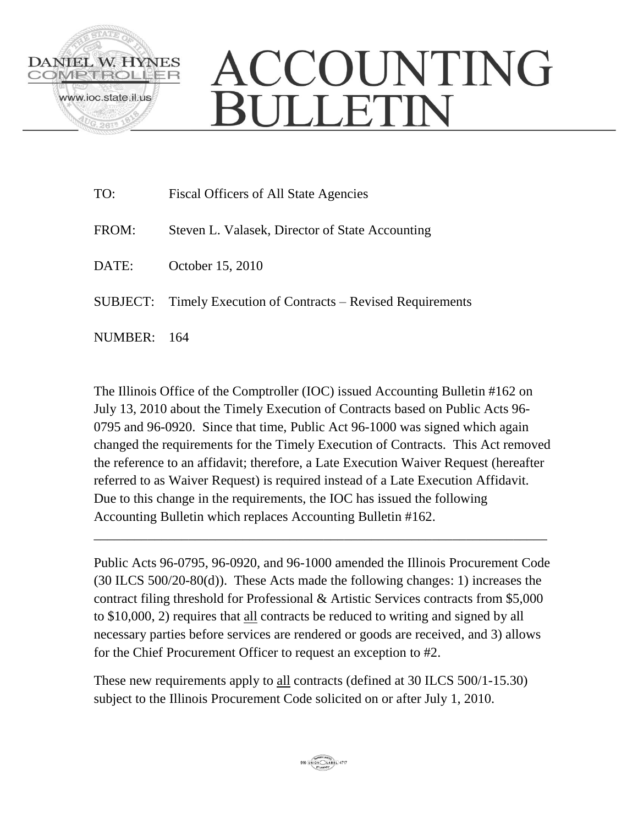

## ACCOUNTING **BULLETIN**

| TO:     | Fiscal Officers of All State Agencies                         |
|---------|---------------------------------------------------------------|
| FROM:   | Steven L. Valasek, Director of State Accounting               |
| DATE:   | October 15, 2010                                              |
|         | SUBJECT: Timely Execution of Contracts – Revised Requirements |
| NUMBER: | - 164                                                         |

The Illinois Office of the Comptroller (IOC) issued Accounting Bulletin #162 on July 13, 2010 about the Timely Execution of Contracts based on Public Acts 96- 0795 and 96-0920. Since that time, Public Act 96-1000 was signed which again changed the requirements for the Timely Execution of Contracts. This Act removed the reference to an affidavit; therefore, a Late Execution Waiver Request (hereafter referred to as Waiver Request) is required instead of a Late Execution Affidavit. Due to this change in the requirements, the IOC has issued the following Accounting Bulletin which replaces Accounting Bulletin #162.

Public Acts 96-0795, 96-0920, and 96-1000 amended the Illinois Procurement Code (30 ILCS 500/20-80(d)). These Acts made the following changes: 1) increases the contract filing threshold for Professional & Artistic Services contracts from \$5,000 to \$10,000, 2) requires that all contracts be reduced to writing and signed by all necessary parties before services are rendered or goods are received, and 3) allows for the Chief Procurement Officer to request an exception to #2.

\_\_\_\_\_\_\_\_\_\_\_\_\_\_\_\_\_\_\_\_\_\_\_\_\_\_\_\_\_\_\_\_\_\_\_\_\_\_\_\_\_\_\_\_\_\_\_\_\_\_\_\_\_\_\_\_\_\_\_\_\_\_\_\_\_\_\_

These new requirements apply to all contracts (defined at 30 ILCS 500/1-15.30) subject to the Illinois Procurement Code solicited on or after July 1, 2010.

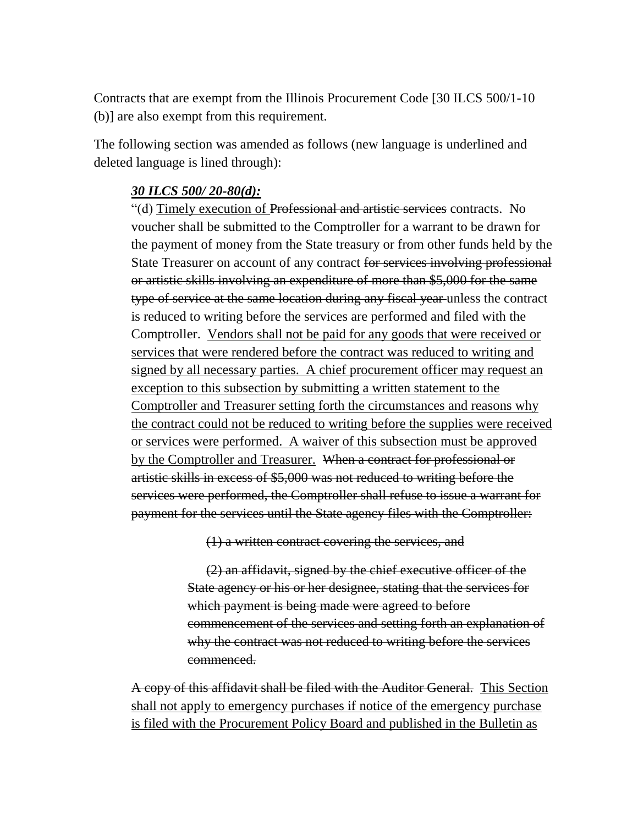Contracts that are exempt from the Illinois Procurement Code [30 ILCS 500/1-10 (b)] are also exempt from this requirement.

The following section was amended as follows (new language is underlined and deleted language is lined through):

## *30 ILCS 500/ 20-80(d):*

"(d) Timely execution of Professional and artistic services contracts. No voucher shall be submitted to the Comptroller for a warrant to be drawn for the payment of money from the State treasury or from other funds held by the State Treasurer on account of any contract for services involving professional or artistic skills involving an expenditure of more than \$5,000 for the same type of service at the same location during any fiscal year unless the contract is reduced to writing before the services are performed and filed with the Comptroller. Vendors shall not be paid for any goods that were received or services that were rendered before the contract was reduced to writing and signed by all necessary parties. A chief procurement officer may request an exception to this subsection by submitting a written statement to the Comptroller and Treasurer setting forth the circumstances and reasons why the contract could not be reduced to writing before the supplies were received or services were performed. A waiver of this subsection must be approved by the Comptroller and Treasurer. When a contract for professional or artistic skills in excess of \$5,000 was not reduced to writing before the services were performed, the Comptroller shall refuse to issue a warrant for payment for the services until the State agency files with the Comptroller:

(1) a written contract covering the services, and

(2) an affidavit, signed by the chief executive officer of the State agency or his or her designee, stating that the services for which payment is being made were agreed to before commencement of the services and setting forth an explanation of why the contract was not reduced to writing before the services commenced.

A copy of this affidavit shall be filed with the Auditor General. This Section shall not apply to emergency purchases if notice of the emergency purchase is filed with the Procurement Policy Board and published in the Bulletin as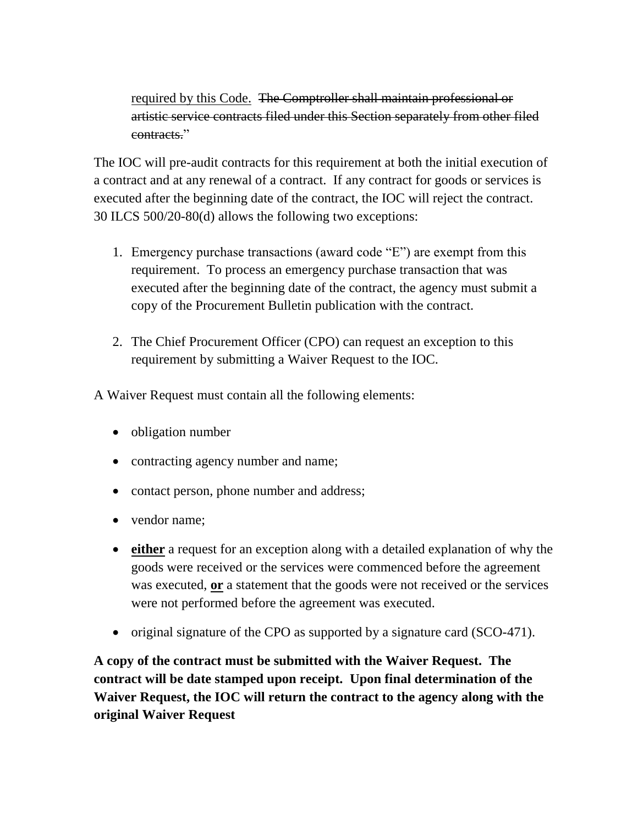required by this Code. The Comptroller shall maintain professional or artistic service contracts filed under this Section separately from other filed contracts."

The IOC will pre-audit contracts for this requirement at both the initial execution of a contract and at any renewal of a contract. If any contract for goods or services is executed after the beginning date of the contract, the IOC will reject the contract. 30 ILCS 500/20-80(d) allows the following two exceptions:

- 1. Emergency purchase transactions (award code "E") are exempt from this requirement. To process an emergency purchase transaction that was executed after the beginning date of the contract, the agency must submit a copy of the Procurement Bulletin publication with the contract.
- 2. The Chief Procurement Officer (CPO) can request an exception to this requirement by submitting a Waiver Request to the IOC.

A Waiver Request must contain all the following elements:

- obligation number
- contracting agency number and name;
- contact person, phone number and address;
- vendor name:
- **either** a request for an exception along with a detailed explanation of why the goods were received or the services were commenced before the agreement was executed, **or** a statement that the goods were not received or the services were not performed before the agreement was executed.
- original signature of the CPO as supported by a signature card (SCO-471).

**A copy of the contract must be submitted with the Waiver Request. The contract will be date stamped upon receipt. Upon final determination of the Waiver Request, the IOC will return the contract to the agency along with the original Waiver Request**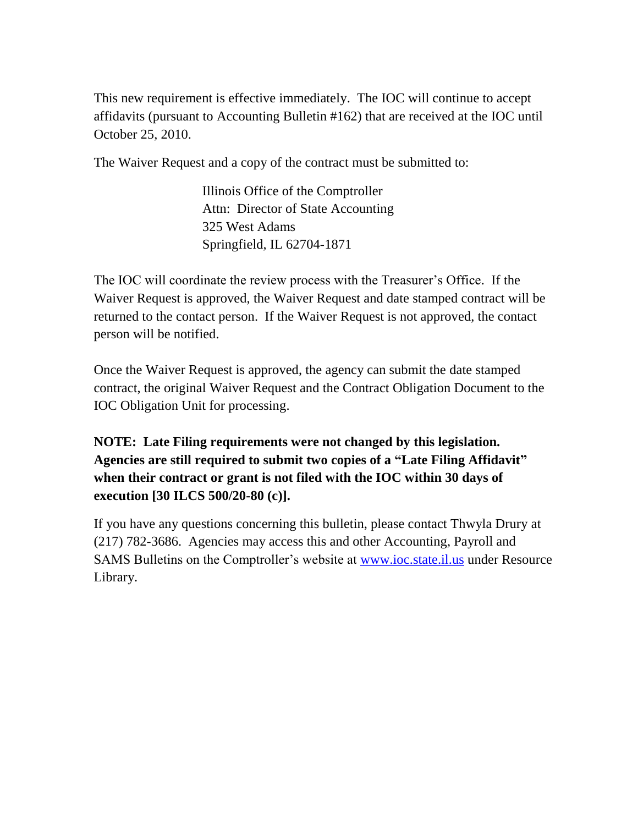This new requirement is effective immediately. The IOC will continue to accept affidavits (pursuant to Accounting Bulletin #162) that are received at the IOC until October 25, 2010.

The Waiver Request and a copy of the contract must be submitted to:

Illinois Office of the Comptroller Attn: Director of State Accounting 325 West Adams Springfield, IL 62704-1871

The IOC will coordinate the review process with the Treasurer's Office. If the Waiver Request is approved, the Waiver Request and date stamped contract will be returned to the contact person. If the Waiver Request is not approved, the contact person will be notified.

Once the Waiver Request is approved, the agency can submit the date stamped contract, the original Waiver Request and the Contract Obligation Document to the IOC Obligation Unit for processing.

**NOTE: Late Filing requirements were not changed by this legislation. Agencies are still required to submit two copies of a "Late Filing Affidavit" when their contract or grant is not filed with the IOC within 30 days of execution [30 ILCS 500/20-80 (c)].**

If you have any questions concerning this bulletin, please contact Thwyla Drury at (217) 782-3686. Agencies may access this and other Accounting, Payroll and SAMS Bulletins on the Comptroller's website at **www.ioc.state.il.us** under Resource Library.